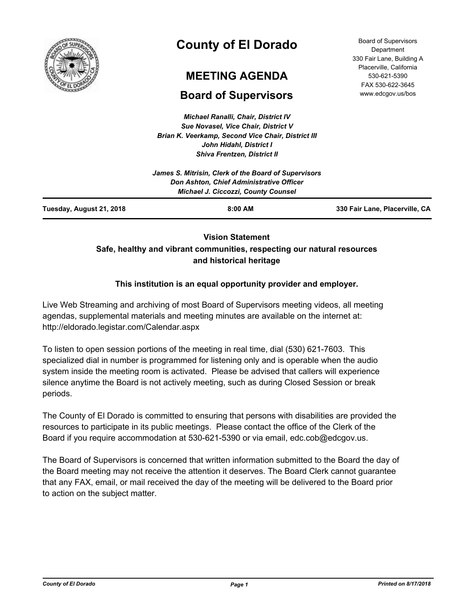

# **County of El Dorado**

## **MEETING AGENDA**

## **Board of Supervisors**

*Michael Ranalli, Chair, District IV Sue Novasel, Vice Chair, District V Brian K. Veerkamp, Second Vice Chair, District III John Hidahl, District I Shiva Frentzen, District II*

Board of Supervisors **Department** 330 Fair Lane, Building A Placerville, California 530-621-5390 FAX 530-622-3645 www.edcgov.us/bos

| Tuesday, August 21, 2018 | $8:00$ AM                                                                              | 330 Fair Lane, Placerville, CA |
|--------------------------|----------------------------------------------------------------------------------------|--------------------------------|
|                          | Don Ashton, Chief Administrative Officer<br><b>Michael J. Ciccozzi, County Counsel</b> |                                |
|                          | James S. Mitrisin, Clerk of the Board of Supervisors                                   |                                |
|                          |                                                                                        |                                |

## **Vision Statement Safe, healthy and vibrant communities, respecting our natural resources and historical heritage**

## **This institution is an equal opportunity provider and employer.**

Live Web Streaming and archiving of most Board of Supervisors meeting videos, all meeting agendas, supplemental materials and meeting minutes are available on the internet at: http://eldorado.legistar.com/Calendar.aspx

To listen to open session portions of the meeting in real time, dial (530) 621-7603. This specialized dial in number is programmed for listening only and is operable when the audio system inside the meeting room is activated. Please be advised that callers will experience silence anytime the Board is not actively meeting, such as during Closed Session or break periods.

The County of El Dorado is committed to ensuring that persons with disabilities are provided the resources to participate in its public meetings. Please contact the office of the Clerk of the Board if you require accommodation at 530-621-5390 or via email, edc.cob@edcgov.us.

The Board of Supervisors is concerned that written information submitted to the Board the day of the Board meeting may not receive the attention it deserves. The Board Clerk cannot guarantee that any FAX, email, or mail received the day of the meeting will be delivered to the Board prior to action on the subject matter.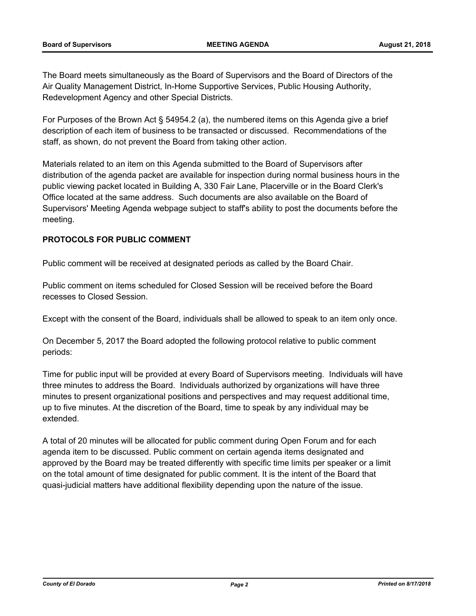The Board meets simultaneously as the Board of Supervisors and the Board of Directors of the Air Quality Management District, In-Home Supportive Services, Public Housing Authority, Redevelopment Agency and other Special Districts.

For Purposes of the Brown Act § 54954.2 (a), the numbered items on this Agenda give a brief description of each item of business to be transacted or discussed. Recommendations of the staff, as shown, do not prevent the Board from taking other action.

Materials related to an item on this Agenda submitted to the Board of Supervisors after distribution of the agenda packet are available for inspection during normal business hours in the public viewing packet located in Building A, 330 Fair Lane, Placerville or in the Board Clerk's Office located at the same address. Such documents are also available on the Board of Supervisors' Meeting Agenda webpage subject to staff's ability to post the documents before the meeting.

### **PROTOCOLS FOR PUBLIC COMMENT**

Public comment will be received at designated periods as called by the Board Chair.

Public comment on items scheduled for Closed Session will be received before the Board recesses to Closed Session.

Except with the consent of the Board, individuals shall be allowed to speak to an item only once.

On December 5, 2017 the Board adopted the following protocol relative to public comment periods:

Time for public input will be provided at every Board of Supervisors meeting. Individuals will have three minutes to address the Board. Individuals authorized by organizations will have three minutes to present organizational positions and perspectives and may request additional time, up to five minutes. At the discretion of the Board, time to speak by any individual may be extended.

A total of 20 minutes will be allocated for public comment during Open Forum and for each agenda item to be discussed. Public comment on certain agenda items designated and approved by the Board may be treated differently with specific time limits per speaker or a limit on the total amount of time designated for public comment. It is the intent of the Board that quasi-judicial matters have additional flexibility depending upon the nature of the issue.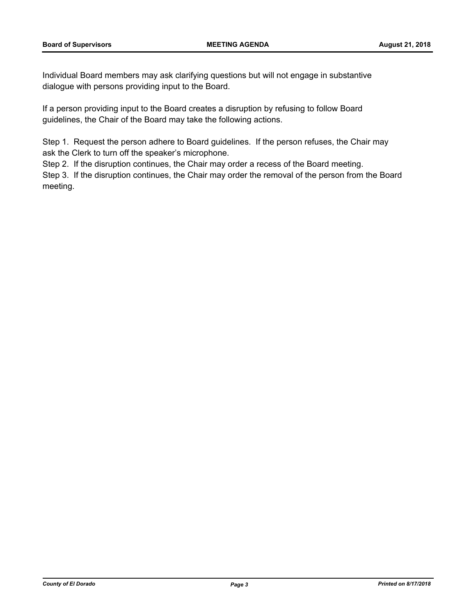Individual Board members may ask clarifying questions but will not engage in substantive dialogue with persons providing input to the Board.

If a person providing input to the Board creates a disruption by refusing to follow Board guidelines, the Chair of the Board may take the following actions.

Step 1. Request the person adhere to Board guidelines. If the person refuses, the Chair may ask the Clerk to turn off the speaker's microphone.

Step 2. If the disruption continues, the Chair may order a recess of the Board meeting.

Step 3. If the disruption continues, the Chair may order the removal of the person from the Board meeting.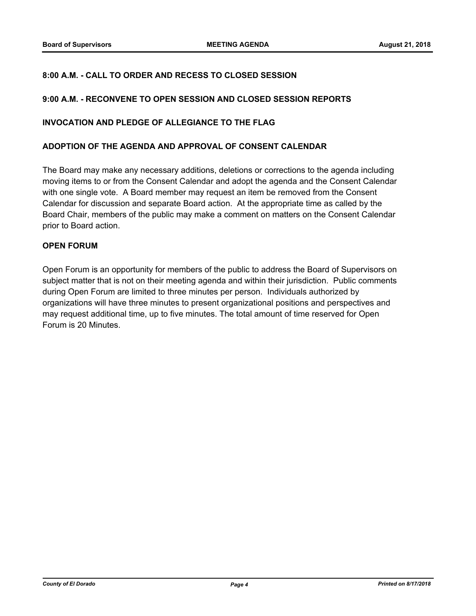#### **8:00 A.M. - CALL TO ORDER AND RECESS TO CLOSED SESSION**

#### **9:00 A.M. - RECONVENE TO OPEN SESSION AND CLOSED SESSION REPORTS**

#### **INVOCATION AND PLEDGE OF ALLEGIANCE TO THE FLAG**

#### **ADOPTION OF THE AGENDA AND APPROVAL OF CONSENT CALENDAR**

The Board may make any necessary additions, deletions or corrections to the agenda including moving items to or from the Consent Calendar and adopt the agenda and the Consent Calendar with one single vote. A Board member may request an item be removed from the Consent Calendar for discussion and separate Board action. At the appropriate time as called by the Board Chair, members of the public may make a comment on matters on the Consent Calendar prior to Board action.

#### **OPEN FORUM**

Open Forum is an opportunity for members of the public to address the Board of Supervisors on subject matter that is not on their meeting agenda and within their jurisdiction. Public comments during Open Forum are limited to three minutes per person. Individuals authorized by organizations will have three minutes to present organizational positions and perspectives and may request additional time, up to five minutes. The total amount of time reserved for Open Forum is 20 Minutes.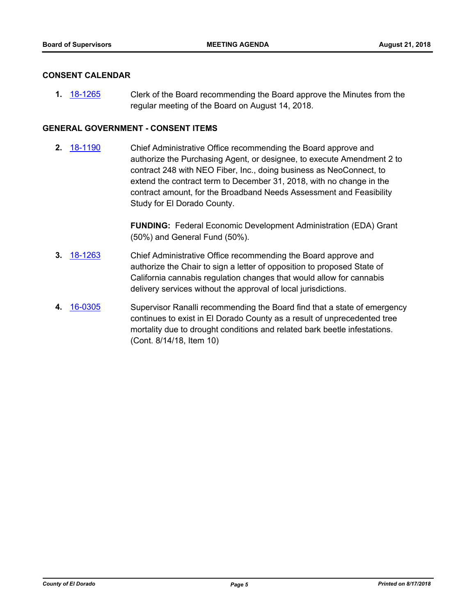#### **CONSENT CALENDAR**

**1.** [18-1265](http://eldorado.legistar.com/gateway.aspx?m=l&id=/matter.aspx?key=24616) Clerk of the Board recommending the Board approve the Minutes from the regular meeting of the Board on August 14, 2018.

#### **GENERAL GOVERNMENT - CONSENT ITEMS**

**2.** [18-1190](http://eldorado.legistar.com/gateway.aspx?m=l&id=/matter.aspx?key=24540) Chief Administrative Office recommending the Board approve and authorize the Purchasing Agent, or designee, to execute Amendment 2 to contract 248 with NEO Fiber, Inc., doing business as NeoConnect, to extend the contract term to December 31, 2018, with no change in the contract amount, for the Broadband Needs Assessment and Feasibility Study for El Dorado County.

> **FUNDING:** Federal Economic Development Administration (EDA) Grant (50%) and General Fund (50%).

- **3.** [18-1263](http://eldorado.legistar.com/gateway.aspx?m=l&id=/matter.aspx?key=24614) Chief Administrative Office recommending the Board approve and authorize the Chair to sign a letter of opposition to proposed State of California cannabis regulation changes that would allow for cannabis delivery services without the approval of local jurisdictions.
- **4.** [16-0305](http://eldorado.legistar.com/gateway.aspx?m=l&id=/matter.aspx?key=20961) Supervisor Ranalli recommending the Board find that a state of emergency continues to exist in El Dorado County as a result of unprecedented tree mortality due to drought conditions and related bark beetle infestations. (Cont. 8/14/18, Item 10)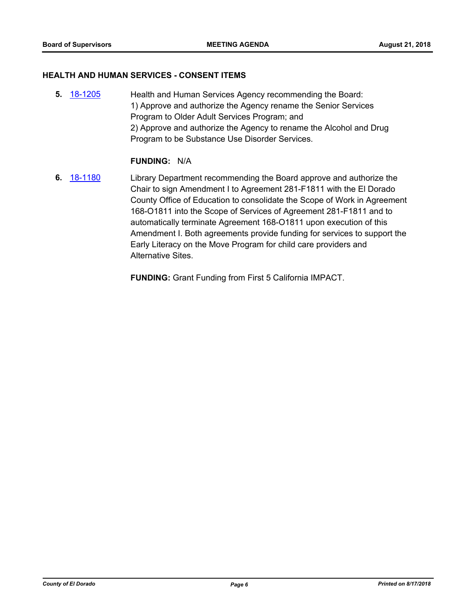#### **HEALTH AND HUMAN SERVICES - CONSENT ITEMS**

**5.** [18-1205](http://eldorado.legistar.com/gateway.aspx?m=l&id=/matter.aspx?key=24556) Health and Human Services Agency recommending the Board: 1) Approve and authorize the Agency rename the Senior Services Program to Older Adult Services Program; and 2) Approve and authorize the Agency to rename the Alcohol and Drug Program to be Substance Use Disorder Services.

#### **FUNDING:** N/A

**6.** [18-1180](http://eldorado.legistar.com/gateway.aspx?m=l&id=/matter.aspx?key=24530) Library Department recommending the Board approve and authorize the Chair to sign Amendment I to Agreement 281-F1811 with the El Dorado County Office of Education to consolidate the Scope of Work in Agreement 168-O1811 into the Scope of Services of Agreement 281-F1811 and to automatically terminate Agreement 168-O1811 upon execution of this Amendment I. Both agreements provide funding for services to support the Early Literacy on the Move Program for child care providers and Alternative Sites.

**FUNDING:** Grant Funding from First 5 California IMPACT.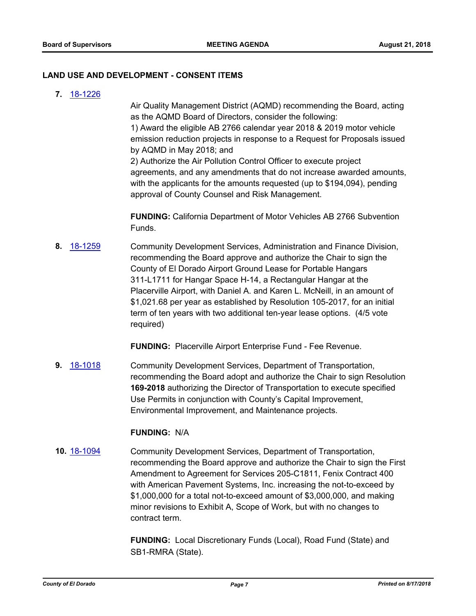#### **LAND USE AND DEVELOPMENT - CONSENT ITEMS**

**7.** [18-1226](http://eldorado.legistar.com/gateway.aspx?m=l&id=/matter.aspx?key=24577)

Air Quality Management District (AQMD) recommending the Board, acting as the AQMD Board of Directors, consider the following: 1) Award the eligible AB 2766 calendar year 2018 & 2019 motor vehicle emission reduction projects in response to a Request for Proposals issued by AQMD in May 2018; and 2) Authorize the Air Pollution Control Officer to execute project agreements, and any amendments that do not increase awarded amounts,

with the applicants for the amounts requested (up to \$194,094), pending approval of County Counsel and Risk Management.

**FUNDING:** California Department of Motor Vehicles AB 2766 Subvention Funds.

**8.** [18-1259](http://eldorado.legistar.com/gateway.aspx?m=l&id=/matter.aspx?key=24610) Community Development Services, Administration and Finance Division, recommending the Board approve and authorize the Chair to sign the County of El Dorado Airport Ground Lease for Portable Hangars 311-L1711 for Hangar Space H-14, a Rectangular Hangar at the Placerville Airport, with Daniel A. and Karen L. McNeill, in an amount of \$1,021.68 per year as established by Resolution 105-2017, for an initial term of ten years with two additional ten-year lease options. (4/5 vote required)

**FUNDING:** Placerville Airport Enterprise Fund - Fee Revenue.

**9.** [18-1018](http://eldorado.legistar.com/gateway.aspx?m=l&id=/matter.aspx?key=24367) Community Development Services, Department of Transportation, recommending the Board adopt and authorize the Chair to sign Resolution **169-2018** authorizing the Director of Transportation to execute specified Use Permits in conjunction with County's Capital Improvement, Environmental Improvement, and Maintenance projects.

#### **FUNDING:** N/A

**10.** [18-1094](http://eldorado.legistar.com/gateway.aspx?m=l&id=/matter.aspx?key=24444) Community Development Services, Department of Transportation, recommending the Board approve and authorize the Chair to sign the First Amendment to Agreement for Services 205-C1811, Fenix Contract 400 with American Pavement Systems, Inc. increasing the not-to-exceed by \$1,000,000 for a total not-to-exceed amount of \$3,000,000, and making minor revisions to Exhibit A, Scope of Work, but with no changes to contract term.

> **FUNDING:** Local Discretionary Funds (Local), Road Fund (State) and SB1-RMRA (State).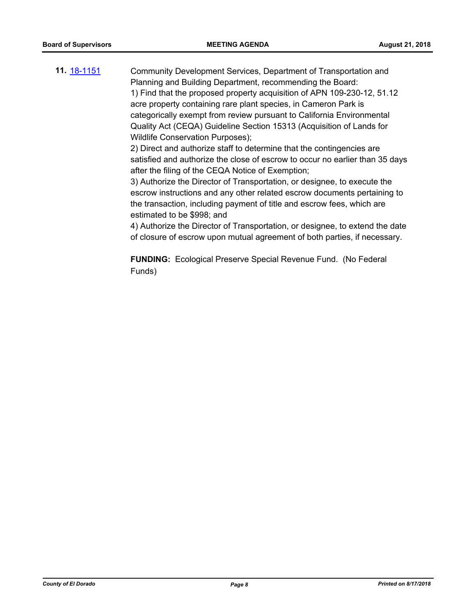**11.** [18-1151](http://eldorado.legistar.com/gateway.aspx?m=l&id=/matter.aspx?key=24501) Community Development Services, Department of Transportation and Planning and Building Department, recommending the Board: 1) Find that the proposed property acquisition of APN 109-230-12, 51.12 acre property containing rare plant species, in Cameron Park is categorically exempt from review pursuant to California Environmental Quality Act (CEQA) Guideline Section 15313 (Acquisition of Lands for Wildlife Conservation Purposes); 2) Direct and authorize staff to determine that the contingencies are

satisfied and authorize the close of escrow to occur no earlier than 35 days after the filing of the CEQA Notice of Exemption;

3) Authorize the Director of Transportation, or designee, to execute the escrow instructions and any other related escrow documents pertaining to the transaction, including payment of title and escrow fees, which are estimated to be \$998; and

4) Authorize the Director of Transportation, or designee, to extend the date of closure of escrow upon mutual agreement of both parties, if necessary.

**FUNDING:** Ecological Preserve Special Revenue Fund. (No Federal Funds)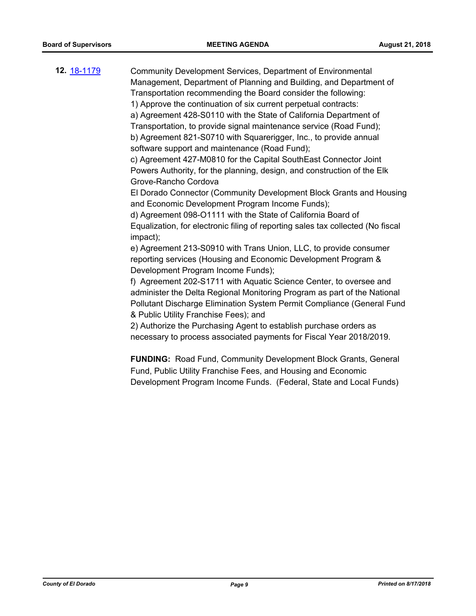| <b>12.</b> 18-1179 | Community Development Services, Department of Environmental<br>Management, Department of Planning and Building, and Department of<br>Transportation recommending the Board consider the following:<br>1) Approve the continuation of six current perpetual contracts:<br>a) Agreement 428-S0110 with the State of California Department of<br>Transportation, to provide signal maintenance service (Road Fund);<br>b) Agreement 821-S0710 with Squarerigger, Inc., to provide annual<br>software support and maintenance (Road Fund);<br>c) Agreement 427-M0810 for the Capital SouthEast Connector Joint<br>Powers Authority, for the planning, design, and construction of the Elk<br>Grove-Rancho Cordova<br>El Dorado Connector (Community Development Block Grants and Housing<br>and Economic Development Program Income Funds);<br>d) Agreement 098-O1111 with the State of California Board of<br>Equalization, for electronic filing of reporting sales tax collected (No fiscal<br>impact);<br>e) Agreement 213-S0910 with Trans Union, LLC, to provide consumer<br>reporting services (Housing and Economic Development Program &<br>Development Program Income Funds);<br>f) Agreement 202-S1711 with Aquatic Science Center, to oversee and<br>administer the Delta Regional Monitoring Program as part of the National<br>Pollutant Discharge Elimination System Permit Compliance (General Fund<br>& Public Utility Franchise Fees); and<br>2) Authorize the Purchasing Agent to establish purchase orders as<br>necessary to process associated payments for Fiscal Year 2018/2019. |
|--------------------|------------------------------------------------------------------------------------------------------------------------------------------------------------------------------------------------------------------------------------------------------------------------------------------------------------------------------------------------------------------------------------------------------------------------------------------------------------------------------------------------------------------------------------------------------------------------------------------------------------------------------------------------------------------------------------------------------------------------------------------------------------------------------------------------------------------------------------------------------------------------------------------------------------------------------------------------------------------------------------------------------------------------------------------------------------------------------------------------------------------------------------------------------------------------------------------------------------------------------------------------------------------------------------------------------------------------------------------------------------------------------------------------------------------------------------------------------------------------------------------------------------------------------------------------------------------------------------------------------|
|                    | <b>FUNDING:</b> Road Fund, Community Development Block Grants, General                                                                                                                                                                                                                                                                                                                                                                                                                                                                                                                                                                                                                                                                                                                                                                                                                                                                                                                                                                                                                                                                                                                                                                                                                                                                                                                                                                                                                                                                                                                               |

Fund, Public Utility Franchise Fees, and Housing and Economic Development Program Income Funds. (Federal, State and Local Funds)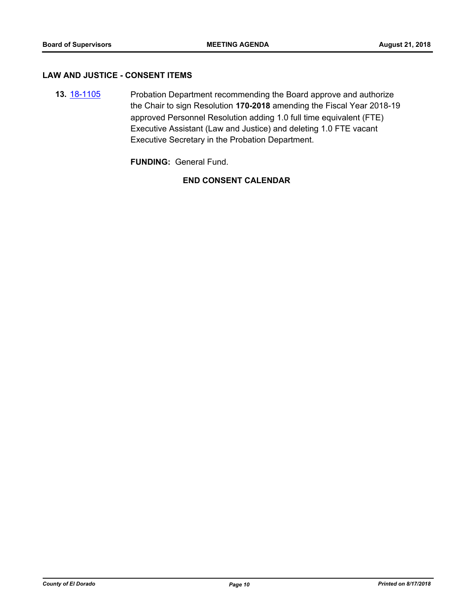#### **LAW AND JUSTICE - CONSENT ITEMS**

**13.** [18-1105](http://eldorado.legistar.com/gateway.aspx?m=l&id=/matter.aspx?key=24455) Probation Department recommending the Board approve and authorize the Chair to sign Resolution **170-2018** amending the Fiscal Year 2018-19 approved Personnel Resolution adding 1.0 full time equivalent (FTE) Executive Assistant (Law and Justice) and deleting 1.0 FTE vacant Executive Secretary in the Probation Department.

**FUNDING:** General Fund.

### **END CONSENT CALENDAR**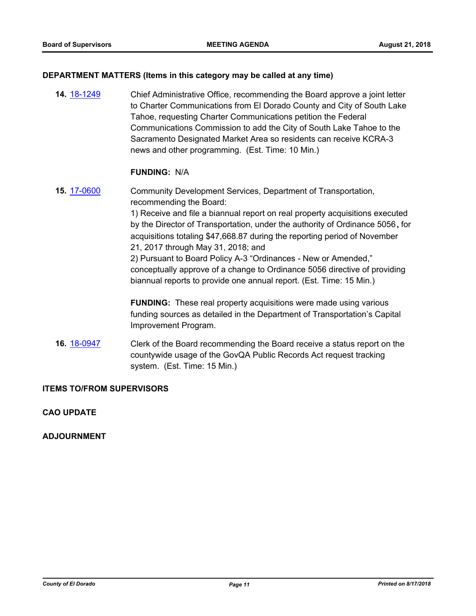#### **DEPARTMENT MATTERS (Items in this category may be called at any time)**

**14.** [18-1249](http://eldorado.legistar.com/gateway.aspx?m=l&id=/matter.aspx?key=24600) Chief Administrative Office, recommending the Board approve a joint letter to Charter Communications from El Dorado County and City of South Lake Tahoe, requesting Charter Communications petition the Federal Communications Commission to add the City of South Lake Tahoe to the Sacramento Designated Market Area so residents can receive KCRA-3 news and other programming. (Est. Time: 10 Min.)

#### **FUNDING:** N/A

**15.** [17-0600](http://eldorado.legistar.com/gateway.aspx?m=l&id=/matter.aspx?key=22541) Community Development Services, Department of Transportation, recommending the Board: 1) Receive and file a biannual report on real property acquisitions executed by the Director of Transportation, under the authority of Ordinance 5056**,** for acquisitions totaling \$47,668.87 during the reporting period of November 21, 2017 through May 31, 2018; and 2) Pursuant to Board Policy A-3 "Ordinances - New or Amended," conceptually approve of a change to Ordinance 5056 directive of providing biannual reports to provide one annual report. (Est. Time: 15 Min.) **FUNDING:** These real property acquisitions were made using various

funding sources as detailed in the Department of Transportation's Capital Improvement Program.

**16.** [18-0947](http://eldorado.legistar.com/gateway.aspx?m=l&id=/matter.aspx?key=24295) Clerk of the Board recommending the Board receive a status report on the countywide usage of the GovQA Public Records Act request tracking system. (Est. Time: 15 Min.)

#### **ITEMS TO/FROM SUPERVISORS**

#### **CAO UPDATE**

#### **ADJOURNMENT**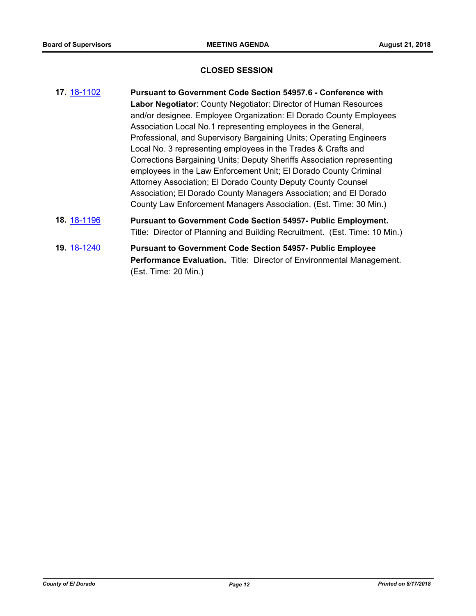#### **CLOSED SESSION**

- **17.** [18-1102](http://eldorado.legistar.com/gateway.aspx?m=l&id=/matter.aspx?key=24452) **Pursuant to Government Code Section 54957.6 Conference with Labor Negotiator**: County Negotiator: Director of Human Resources and/or designee. Employee Organization: El Dorado County Employees Association Local No.1 representing employees in the General, Professional, and Supervisory Bargaining Units; Operating Engineers Local No. 3 representing employees in the Trades & Crafts and Corrections Bargaining Units; Deputy Sheriffs Association representing employees in the Law Enforcement Unit; El Dorado County Criminal Attorney Association; El Dorado County Deputy County Counsel Association; El Dorado County Managers Association; and El Dorado County Law Enforcement Managers Association. (Est. Time: 30 Min.) **18.** [18-1196](http://eldorado.legistar.com/gateway.aspx?m=l&id=/matter.aspx?key=24547) **Pursuant to Government Code Section 54957- Public Employment.** Title: Director of Planning and Building Recruitment. (Est. Time: 10 Min.)
- **19.** [18-1240](http://eldorado.legistar.com/gateway.aspx?m=l&id=/matter.aspx?key=24591) **Pursuant to Government Code Section 54957- Public Employee Performance Evaluation.** Title: Director of Environmental Management. (Est. Time: 20 Min.)